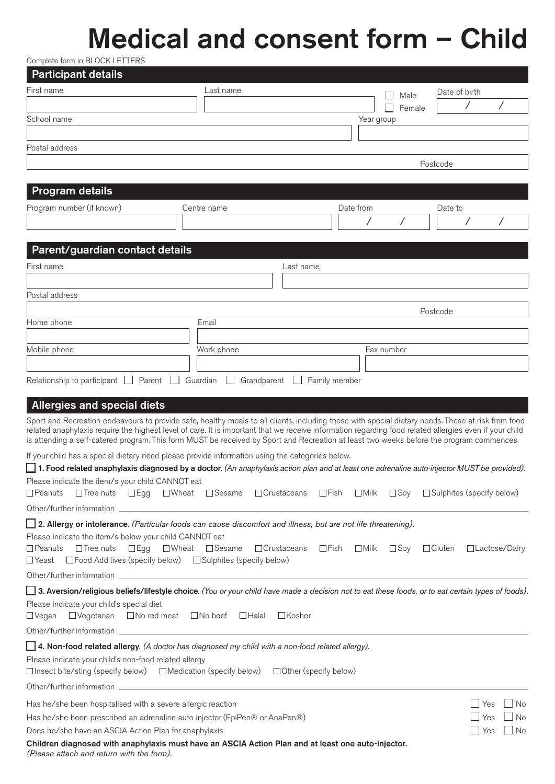## Medical and consent form – Child

Complete form in BLOCK LETTERS

| <b>Participant details</b>                                                                                                                                                                                                                                                                                                                                                                                                                               |                             |                                                  |               |                                             |
|----------------------------------------------------------------------------------------------------------------------------------------------------------------------------------------------------------------------------------------------------------------------------------------------------------------------------------------------------------------------------------------------------------------------------------------------------------|-----------------------------|--------------------------------------------------|---------------|---------------------------------------------|
| First name                                                                                                                                                                                                                                                                                                                                                                                                                                               | Last name                   |                                                  | Male          | Date of birth                               |
|                                                                                                                                                                                                                                                                                                                                                                                                                                                          |                             |                                                  | Female        | Τ<br>Τ                                      |
| School name                                                                                                                                                                                                                                                                                                                                                                                                                                              |                             | Year group                                       |               |                                             |
|                                                                                                                                                                                                                                                                                                                                                                                                                                                          |                             |                                                  |               |                                             |
| Postal address                                                                                                                                                                                                                                                                                                                                                                                                                                           |                             |                                                  |               |                                             |
|                                                                                                                                                                                                                                                                                                                                                                                                                                                          |                             |                                                  |               | Postcode                                    |
| Program details                                                                                                                                                                                                                                                                                                                                                                                                                                          |                             |                                                  |               |                                             |
| Program number (if known)                                                                                                                                                                                                                                                                                                                                                                                                                                | Centre name                 | Date from                                        |               | Date to                                     |
|                                                                                                                                                                                                                                                                                                                                                                                                                                                          |                             |                                                  |               |                                             |
|                                                                                                                                                                                                                                                                                                                                                                                                                                                          |                             |                                                  |               |                                             |
| Parent/guardian contact details                                                                                                                                                                                                                                                                                                                                                                                                                          |                             |                                                  |               |                                             |
| First name                                                                                                                                                                                                                                                                                                                                                                                                                                               |                             | Last name                                        |               |                                             |
|                                                                                                                                                                                                                                                                                                                                                                                                                                                          |                             |                                                  |               |                                             |
| Postal address                                                                                                                                                                                                                                                                                                                                                                                                                                           |                             |                                                  |               |                                             |
|                                                                                                                                                                                                                                                                                                                                                                                                                                                          |                             |                                                  |               | Postcode                                    |
| Home phone                                                                                                                                                                                                                                                                                                                                                                                                                                               | Email                       |                                                  |               |                                             |
|                                                                                                                                                                                                                                                                                                                                                                                                                                                          |                             |                                                  |               |                                             |
| Mobile phone                                                                                                                                                                                                                                                                                                                                                                                                                                             | Work phone                  |                                                  | Fax number    |                                             |
|                                                                                                                                                                                                                                                                                                                                                                                                                                                          |                             |                                                  |               |                                             |
| Relationship to participant $\Box$<br>Parent                                                                                                                                                                                                                                                                                                                                                                                                             | Guardian<br>Grandparent     | Family member                                    |               |                                             |
| <b>Allergies and special diets</b>                                                                                                                                                                                                                                                                                                                                                                                                                       |                             |                                                  |               |                                             |
| Sport and Recreation endeavours to provide safe, healthy meals to all clients, including those with special dietary needs. Those at risk from food<br>related anaphylaxis require the highest level of care. It is important that we receive information regarding food related allergies even if your child<br>is attending a self-catered program. This form MUST be received by Sport and Recreation at least two weeks before the program commences. |                             |                                                  |               |                                             |
| If your child has a special dietary need please provide information using the categories below.                                                                                                                                                                                                                                                                                                                                                          |                             |                                                  |               |                                             |
| 1. Food related anaphylaxis diagnosed by a doctor. (An anaphylaxis action plan and at least one adrenaline auto-injector MUST be provided).<br>Please indicate the item/s your child CANNOT eat                                                                                                                                                                                                                                                          |                             |                                                  |               |                                             |
| $\Box$ Peanuts<br>$\Box$ Tree nuts<br>$\Box$ Egg                                                                                                                                                                                                                                                                                                                                                                                                         | □ Sesame<br>$\square$ Wheat | □Crustaceans<br>$\Box$ Fish<br>$\Box$ Milk       |               | $\Box$ Soy $\Box$ Sulphites (specify below) |
| Other/further information                                                                                                                                                                                                                                                                                                                                                                                                                                |                             |                                                  |               |                                             |
| <b>12. Allergy or intolerance</b> . (Particular foods can cause discomfort and illness, but are not life threatening).                                                                                                                                                                                                                                                                                                                                   |                             |                                                  |               |                                             |
| Please indicate the item/s below your child CANNOT eat                                                                                                                                                                                                                                                                                                                                                                                                   |                             |                                                  |               |                                             |
| $\Box$ Peanuts<br>$\Box$ Tree nuts                                                                                                                                                                                                                                                                                                                                                                                                                       | □Egg □Wheat □Sesame         | $\Box$ Crustaceans<br>$\Box$ Fish<br>$\Box$ Milk | $\square$ Soy | $\Box$ Gluten<br>$\Box$ Lactose/Dairy       |
| □Food Additives (specify below) □ Sulphites (specify below)<br>∐Yeast                                                                                                                                                                                                                                                                                                                                                                                    |                             |                                                  |               |                                             |
| <b>3. Aversion/religious beliefs/lifestyle choice</b> . (You or your child have made a decision not to eat these foods, or to eat certain types of foods).                                                                                                                                                                                                                                                                                               |                             |                                                  |               |                                             |
| Please indicate your child's special diet<br>□ Vegetarian □ No red meat □ No beef □ Halal<br>$\Box$ Vegan                                                                                                                                                                                                                                                                                                                                                |                             | □Kosher                                          |               |                                             |
|                                                                                                                                                                                                                                                                                                                                                                                                                                                          |                             |                                                  |               |                                             |
| 4. Non-food related allergy. (A doctor has diagnosed my child with a non-food related allergy).                                                                                                                                                                                                                                                                                                                                                          |                             |                                                  |               |                                             |
| Please indicate your child's non-food related allergy<br>□Insect bite/sting (specify below) □Medication (specify below) □Other (specify below)                                                                                                                                                                                                                                                                                                           |                             |                                                  |               |                                             |
|                                                                                                                                                                                                                                                                                                                                                                                                                                                          |                             |                                                  |               |                                             |
| Has he/she been hospitalised with a severe allergic reaction                                                                                                                                                                                                                                                                                                                                                                                             |                             |                                                  |               | Yes<br>No                                   |
| Has he/she been prescribed an adrenaline auto injector (EpiPen® or AnaPen®)                                                                                                                                                                                                                                                                                                                                                                              |                             |                                                  |               | No<br>Yes                                   |
| Does he/she have an ASCIA Action Plan for anaphylaxis                                                                                                                                                                                                                                                                                                                                                                                                    |                             |                                                  |               | Yes<br>No                                   |
| Children diagnosed with anaphylaxis must have an ASCIA Action Plan and at least one auto-injector.                                                                                                                                                                                                                                                                                                                                                       |                             |                                                  |               |                                             |

*(Please attach and return with the form).*